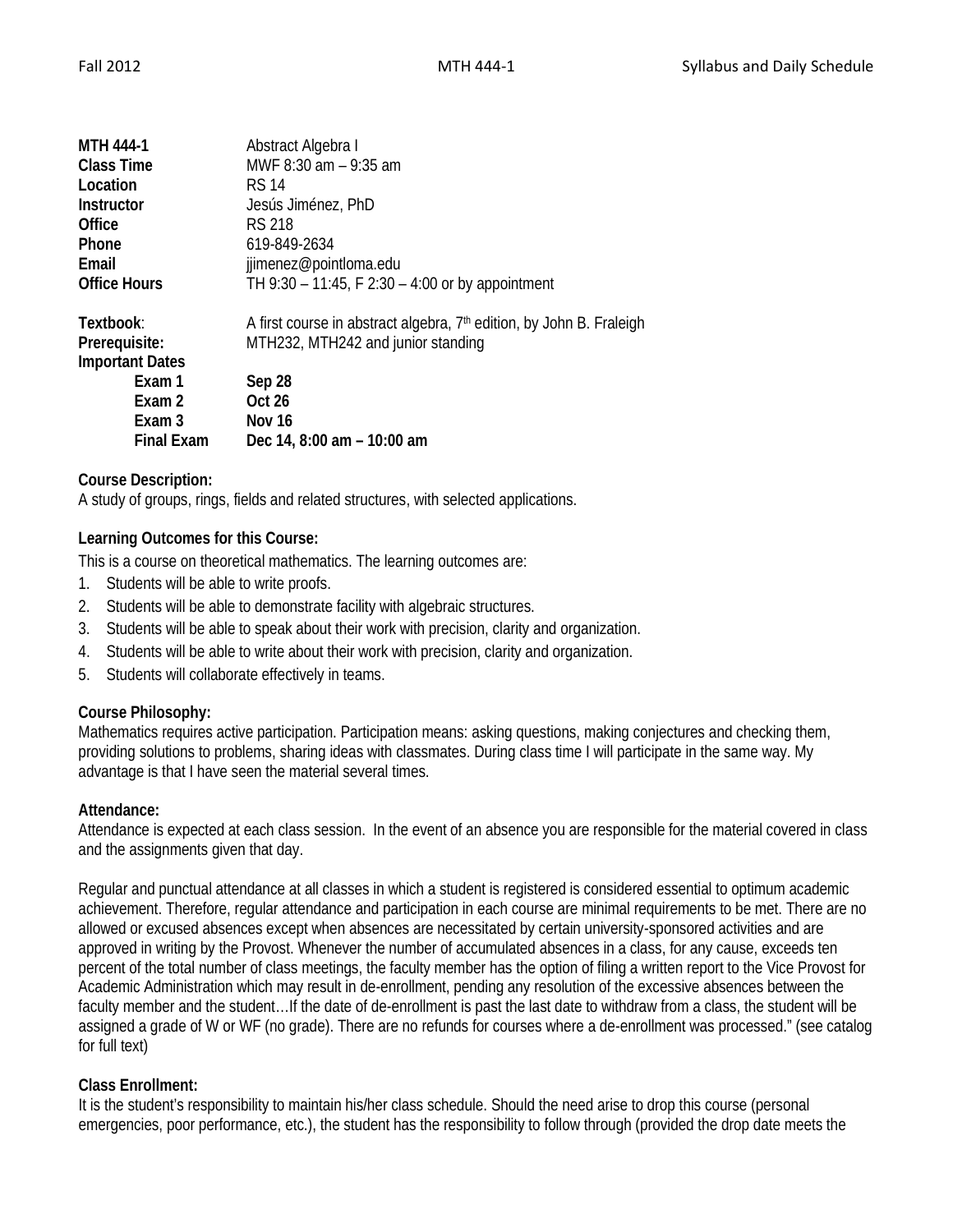| <b>MTH 444-1</b>       | Abstract Algebra I                                                               |
|------------------------|----------------------------------------------------------------------------------|
| <b>Class Time</b>      | MWF 8:30 am - 9:35 am                                                            |
| Location               | <b>RS 14</b>                                                                     |
| Instructor             | Jesús Jiménez, PhD                                                               |
| Office                 | RS 218                                                                           |
| <b>Phone</b>           | 619-849-2634                                                                     |
| Email                  | jjimenez@pointloma.edu                                                           |
| <b>Office Hours</b>    | TH 9:30 - 11:45, F 2:30 - 4:00 or by appointment                                 |
| Textbook:              | A first course in abstract algebra, 7 <sup>th</sup> edition, by John B. Fraleigh |
| Prerequisite:          | MTH232, MTH242 and junior standing                                               |
| <b>Important Dates</b> |                                                                                  |
| Exam 1                 | Sep 28                                                                           |
| Exam 2                 | <b>Oct 26</b>                                                                    |
| Exam 3                 | Nov 16                                                                           |
| <b>Final Exam</b>      | Dec 14, 8:00 am - 10:00 am                                                       |

# **Course Description:**

A study of groups, rings, fields and related structures, with selected applications.

## **Learning Outcomes for this Course:**

This is a course on theoretical mathematics. The learning outcomes are:

- 1. Students will be able to write proofs.
- 2. Students will be able to demonstrate facility with algebraic structures.
- 3. Students will be able to speak about their work with precision, clarity and organization.
- 4. Students will be able to write about their work with precision, clarity and organization.
- 5. Students will collaborate effectively in teams.

### **Course Philosophy:**

Mathematics requires active participation. Participation means: asking questions, making conjectures and checking them, providing solutions to problems, sharing ideas with classmates. During class time I will participate in the same way. My advantage is that I have seen the material several times.

### **Attendance:**

Attendance is expected at each class session. In the event of an absence you are responsible for the material covered in class and the assignments given that day.

Regular and punctual attendance at all classes in which a student is registered is considered essential to optimum academic achievement. Therefore, regular attendance and participation in each course are minimal requirements to be met. There are no allowed or excused absences except when absences are necessitated by certain university-sponsored activities and are approved in writing by the Provost. Whenever the number of accumulated absences in a class, for any cause, exceeds ten percent of the total number of class meetings, the faculty member has the option of filing a written report to the Vice Provost for Academic Administration which may result in de-enrollment, pending any resolution of the excessive absences between the faculty member and the student…If the date of de-enrollment is past the last date to withdraw from a class, the student will be assigned a grade of W or WF (no grade). There are no refunds for courses where a de-enrollment was processed." (see catalog for full text)

### **Class Enrollment:**

It is the student's responsibility to maintain his/her class schedule. Should the need arise to drop this course (personal emergencies, poor performance, etc.), the student has the responsibility to follow through (provided the drop date meets the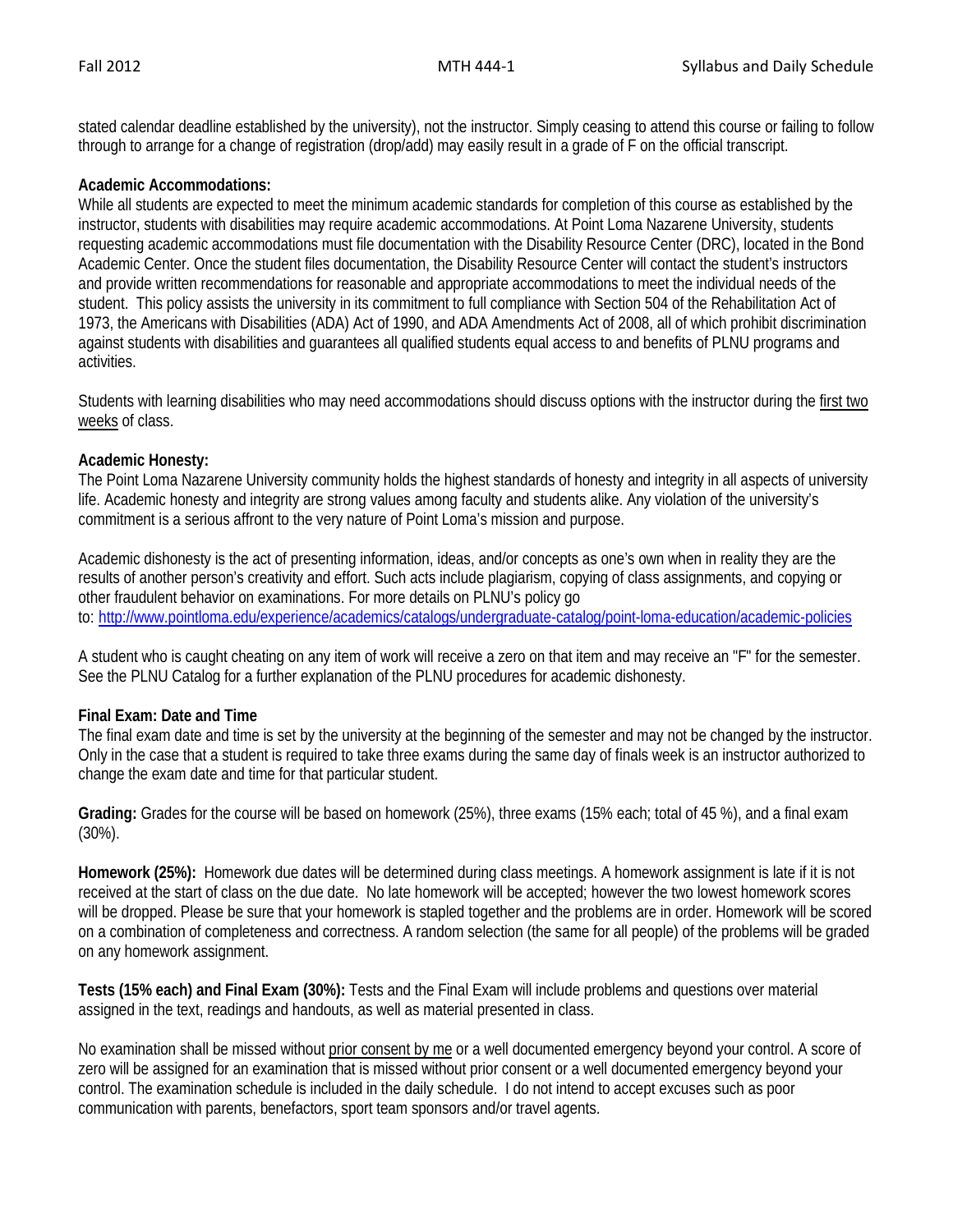stated calendar deadline established by the university), not the instructor. Simply ceasing to attend this course or failing to follow through to arrange for a change of registration (drop/add) may easily result in a grade of F on the official transcript.

### **Academic Accommodations:**

While all students are expected to meet the minimum academic standards for completion of this course as established by the instructor, students with disabilities may require academic accommodations. At Point Loma Nazarene University, students requesting academic accommodations must file documentation with the Disability Resource Center (DRC), located in the Bond Academic Center. Once the student files documentation, the Disability Resource Center will contact the student's instructors and provide written recommendations for reasonable and appropriate accommodations to meet the individual needs of the student. This policy assists the university in its commitment to full compliance with Section 504 of the Rehabilitation Act of 1973, the Americans with Disabilities (ADA) Act of 1990, and ADA Amendments Act of 2008, all of which prohibit discrimination against students with disabilities and guarantees all qualified students equal access to and benefits of PLNU programs and activities.

Students with learning disabilities who may need accommodations should discuss options with the instructor during the first two weeks of class.

### **Academic Honesty:**

The Point Loma Nazarene University community holds the highest standards of honesty and integrity in all aspects of university life. Academic honesty and integrity are strong values among faculty and students alike. Any violation of the university's commitment is a serious affront to the very nature of Point Loma's mission and purpose.

Academic dishonesty is the act of presenting information, ideas, and/or concepts as one's own when in reality they are the results of another person's creativity and effort. Such acts include plagiarism, copying of class assignments, and copying or other fraudulent behavior on examinations. For more details on PLNU's policy go to: <http://www.pointloma.edu/experience/academics/catalogs/undergraduate-catalog/point-loma-education/academic-policies>

A student who is caught cheating on any item of work will receive a zero on that item and may receive an "F" for the semester. See the PLNU Catalog for a further explanation of the PLNU procedures for academic dishonesty.

### **Final Exam: Date and Time**

The final exam date and time is set by the university at the beginning of the semester and may not be changed by the instructor. Only in the case that a student is required to take three exams during the same day of finals week is an instructor authorized to change the exam date and time for that particular student.

**Grading:** Grades for the course will be based on homework (25%), three exams (15% each; total of 45 %), and a final exam (30%).

**Homework (25%):** Homework due dates will be determined during class meetings. A homework assignment is late if it is not received at the start of class on the due date. No late homework will be accepted; however the two lowest homework scores will be dropped. Please be sure that your homework is stapled together and the problems are in order. Homework will be scored on a combination of completeness and correctness. A random selection (the same for all people) of the problems will be graded on any homework assignment.

**Tests (15% each) and Final Exam (30%):** Tests and the Final Exam will include problems and questions over material assigned in the text, readings and handouts, as well as material presented in class.

No examination shall be missed without prior consent by me or a well documented emergency beyond your control. A score of zero will be assigned for an examination that is missed without prior consent or a well documented emergency beyond your control. The examination schedule is included in the daily schedule. I do not intend to accept excuses such as poor communication with parents, benefactors, sport team sponsors and/or travel agents.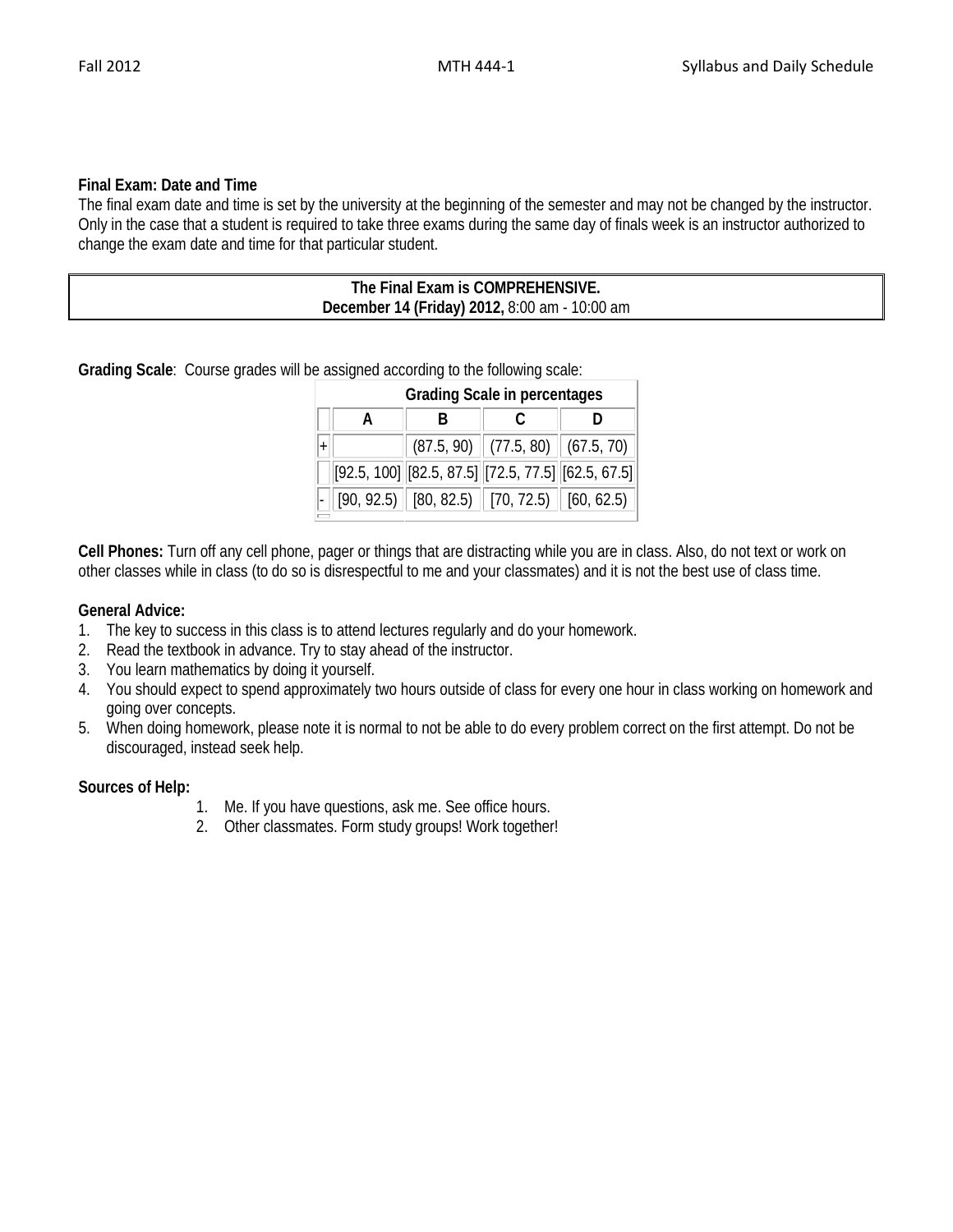## **Final Exam: Date and Time**

The final exam date and time is set by the university at the beginning of the semester and may not be changed by the instructor. Only in the case that a student is required to take three exams during the same day of finals week is an instructor authorized to change the exam date and time for that particular student.

| The Final Exam is COMPREHENSIVE.              |
|-----------------------------------------------|
| December 14 (Friday) 2012, 8:00 am - 10:00 am |

**Grading Scale**: Course grades will be assigned according to the following scale:

| <b>Grading Scale in percentages</b> |                                                            |  |                                                                 |  |  |  |  |
|-------------------------------------|------------------------------------------------------------|--|-----------------------------------------------------------------|--|--|--|--|
|                                     | R                                                          |  |                                                                 |  |  |  |  |
|                                     |                                                            |  | $(87.5, 90)$ $(77.5, 80)$ $(67.5, 70)$                          |  |  |  |  |
|                                     | $[92.5, 100]$ $[82.5, 87.5]$ $[72.5, 77.5]$ $[62.5, 67.5]$ |  |                                                                 |  |  |  |  |
|                                     |                                                            |  | $\boxed{[90, 92.5]}$ $[80, 82.5)$ $[70, 72.5)$ $[60, 62.5)$ $]$ |  |  |  |  |

**Cell Phones:** Turn off any cell phone, pager or things that are distracting while you are in class. Also, do not text or work on other classes while in class (to do so is disrespectful to me and your classmates) and it is not the best use of class time.

## **General Advice:**

- 1. The key to success in this class is to attend lectures regularly and do your homework.
- 2. Read the textbook in advance. Try to stay ahead of the instructor.
- 3. You learn mathematics by doing it yourself.
- 4. You should expect to spend approximately two hours outside of class for every one hour in class working on homework and going over concepts.
- 5. When doing homework, please note it is normal to not be able to do every problem correct on the first attempt. Do not be discouraged, instead seek help.

### **Sources of Help:**

- 1. Me. If you have questions, ask me. See office hours.
- 2. Other classmates. Form study groups! Work together!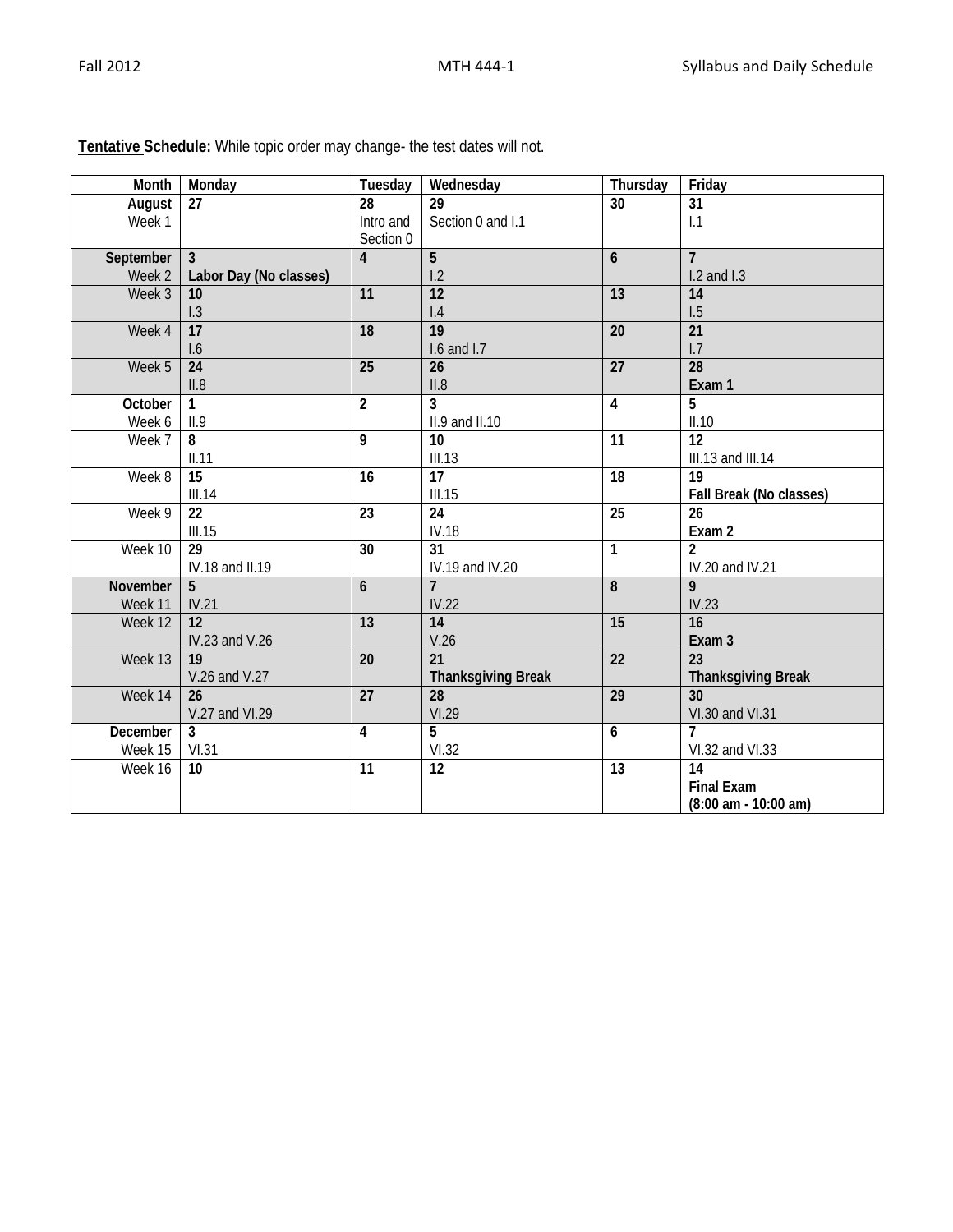| Month     | Monday                 | Tuesday         | Wednesday                 | Thursday        | Friday                                 |
|-----------|------------------------|-----------------|---------------------------|-----------------|----------------------------------------|
| August    | 27                     | 28              | $\overline{29}$           | $\overline{30}$ | $\overline{31}$                        |
| Week 1    |                        | Intro and       | Section 0 and I.1         |                 | 1.1                                    |
|           |                        | Section 0       |                           |                 |                                        |
| September | $\mathbf{3}$           | $\overline{4}$  | 5                         | $\mathbf{6}$    | $\overline{7}$                         |
| Week 2    | Labor Day (No classes) |                 | 1.2                       |                 | $1.2$ and $1.3$                        |
| Week 3    | 10                     | $\overline{11}$ | $\overline{12}$           | $\overline{13}$ | $\overline{14}$                        |
|           | 1.3                    |                 | 1.4                       |                 | 1.5                                    |
| Week 4    | $\overline{17}$        | $\overline{18}$ | $\overline{19}$           | $\overline{20}$ | $\overline{21}$                        |
|           | 1.6                    |                 | 1.6 and 1.7               |                 | 1.7                                    |
| Week 5    | $\overline{24}$        | $\overline{25}$ | 26                        | $\overline{27}$ | $\overline{28}$                        |
|           | II.8                   |                 | II.8                      |                 | Exam 1                                 |
| October   | 1.                     | $\overline{2}$  | 3                         | $\overline{4}$  | 5                                      |
| Week 6    | II.9                   |                 | II.9 and II.10            |                 | II.10                                  |
| Week 7    | 8                      | $\overline{9}$  | $\overline{10}$           | $\overline{11}$ | $\overline{12}$                        |
|           | II.11                  |                 | III.13                    |                 | III.13 and III.14                      |
| Week 8    | $\overline{15}$        | $\overline{16}$ | $\overline{17}$           | $\overline{18}$ | $\overline{19}$                        |
|           | III.14                 |                 | III.15                    |                 | Fall Break (No classes)                |
| Week 9    | $\overline{22}$        | $\overline{23}$ | 24                        | 25              | 26                                     |
|           | III.15                 |                 | <b>IV.18</b>              |                 | Exam 2                                 |
| Week 10   | 29                     | $\overline{30}$ | $\overline{31}$           | $\mathbf{1}$    | $\mathfrak{p}$                         |
|           | IV.18 and II.19        |                 | IV.19 and IV.20           |                 | IV.20 and IV.21                        |
| November  | 5                      | $\mathbf{6}$    | $\overline{7}$            | $\overline{8}$  | 9                                      |
| Week 11   | IV.21                  |                 | IV.22                     |                 | IV.23                                  |
| Week 12   | 12                     | $\overline{13}$ | $\overline{14}$           | $\overline{15}$ | $\overline{16}$                        |
|           | IV.23 and V.26         |                 | V.26                      |                 | Exam 3                                 |
| Week 13   | 19                     | $\overline{20}$ | 21                        | $\overline{22}$ | 23                                     |
|           | V.26 and V.27          |                 | <b>Thanksgiving Break</b> |                 | <b>Thanksgiving Break</b>              |
| Week 14   | 26                     | $\overline{27}$ | 28                        | $\overline{29}$ | 30                                     |
|           | V.27 and VI.29         |                 | VI.29                     |                 | VI.30 and VI.31                        |
| December  | 3                      | 4               | 5                         | 6               | 7                                      |
| Week 15   | VI.31                  |                 | VI.32                     |                 | VI.32 and VI.33                        |
| Week 16   | 10 <sup>°</sup>        | $\overline{11}$ | 12                        | $\overline{13}$ | $\overline{14}$                        |
|           |                        |                 |                           |                 | <b>Final Exam</b>                      |
|           |                        |                 |                           |                 | $(8:00 \text{ am} - 10:00 \text{ am})$ |

**Tentative Schedule:** While topic order may change- the test dates will not.